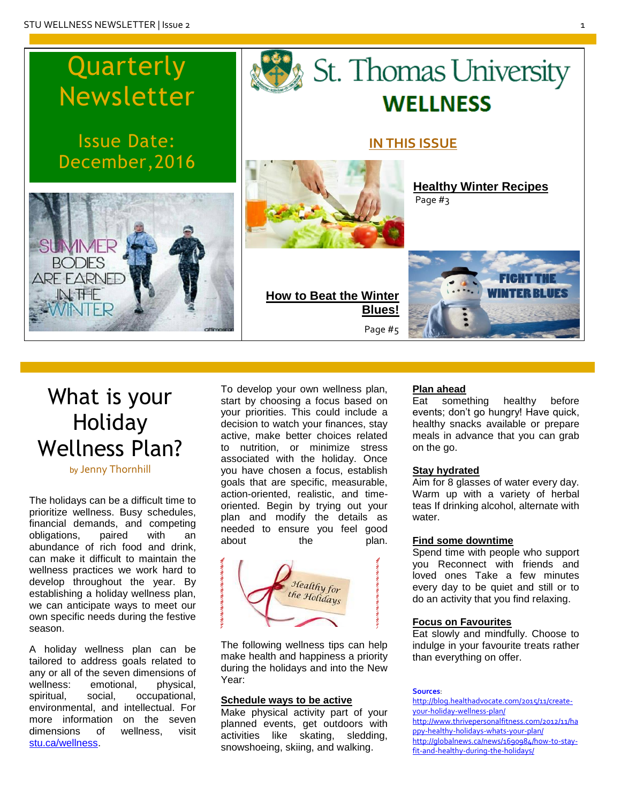# Quarterly Newsletter

Issue Date: December,2016



## To develop your own wellness plan, start by choosing a focus based on your priorities. This could include a decision to watch your finances, stay active, make better choices related to nutrition, or minimize stress associated with the holiday. Once you have chosen a focus, establish goals that are specific, measurable, action-oriented, realistic, and timeoriented. Begin by trying out your plan and modify the details as needed to ensure you feel good about the plan.



The following wellness tips can help make health and happiness a priority during the holidays and into the New Year:

## **Schedule ways to be active**

Make physical activity part of your planned events, get outdoors with activities like skating, sledding, snowshoeing, skiing, and walking.

## **Plan ahead**

Eat something healthy before events; don't go hungry! Have quick, healthy snacks available or prepare meals in advance that you can grab on the go.

**[Healthy](#page-2-0) Winter Recipes**

## **Stay hydrated**

Aim for 8 glasses of water every day. Warm up with a variety of herbal teas If drinking alcohol, alternate with water.

#### **Find some downtime**

Spend time with people who support you Reconnect with friends and loved ones Take a few minutes every day to be quiet and still or to do an activity that you find relaxing.

#### **Focus on Favourites**

Eat slowly and mindfully. Choose to indulge in your favourite treats rather than everything on offer.

#### **Sources**:

http://blog.healthadvocate.com/2015/11/createyour-holiday-wellness-plan/ http://www.thrivepersonalfitness.com/2012/11/ha ppy-healthy-holidays-whats-your-plan/ [http://globalnews.ca/news/1690984/how-to-stay](http://globalnews.ca/news/1690984/how-to-stay-fit-and-healthy-during-the-holidays/)[fit-and-healthy-during-the-holidays/](http://globalnews.ca/news/1690984/how-to-stay-fit-and-healthy-during-the-holidays/)

# St. Thomas University **WELLNESS**

## **IN THIS ISSUE**

Page #3



**How to Beat the Winter Blues!** Page #5

# What is your

Holiday Wellness Plan?

## by Jenny Thornhill

The holidays can be a difficult time to prioritize wellness. Busy schedules, financial demands, and competing obligations, paired with an abundance of rich food and drink, can make it difficult to maintain the wellness practices we work hard to develop throughout the year. By establishing a holiday wellness plan, we can anticipate ways to meet our own specific needs during the festive season.

A holiday wellness plan can be tailored to address goals related to any or all of the seven dimensions of wellness: emotional, physical, spiritual, social, occupational, environmental, and intellectual. For more information on the seven dimensions of wellness, visit stu.ca/wellness.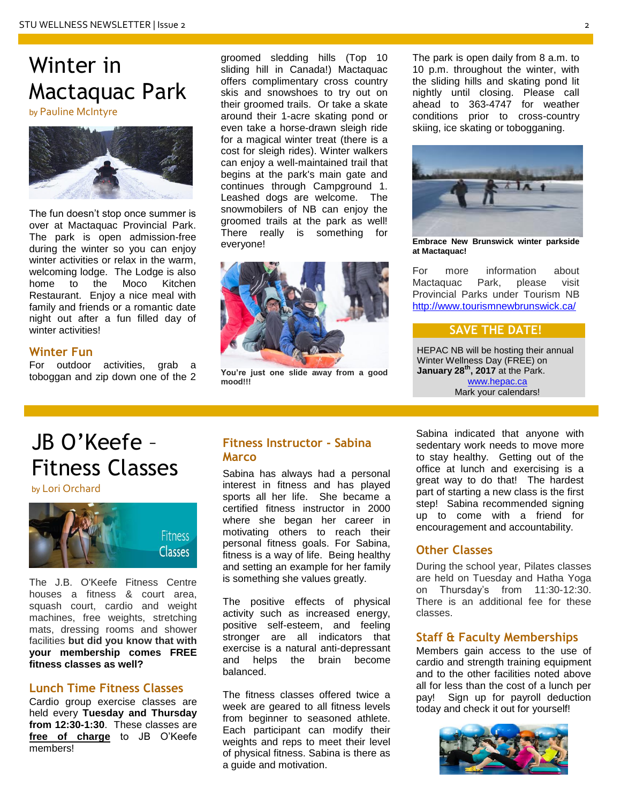# Winter in Mactaquac Park

by Pauline McIntyre



The fun doesn't stop once summer is over at Mactaquac Provincial Park. The park is open admission-free during the winter so you can enjoy winter activities or relax in the warm, welcoming lodge. The Lodge is also home to the Moco Kitchen Restaurant. Enjoy a nice meal with family and friends or a romantic date night out after a fun filled day of winter activities!

## **Winter Fun**

For outdoor activities, grab a toboggan and zip down one of the 2 groomed sledding hills (Top 10 sliding hill in Canada!) Mactaquac offers complimentary cross country skis and snowshoes to try out on their groomed trails. Or take a skate around their 1-acre skating pond or even take a horse-drawn sleigh ride for a magical winter treat (there is a cost for sleigh rides). Winter walkers can enjoy a well-maintained trail that begins at the park's main gate and continues through Campground 1. Leashed dogs are welcome. The snowmobilers of NB can enjoy the groomed trails at the park as well! There really is something for everyone!



**You're just one slide away from a good mood!!!**

The park is open daily from 8 a.m. to 10 p.m. throughout the winter, with the sliding hills and skating pond lit nightly until closing. Please call ahead to [363-4747](tel:506-363-4747) for weather conditions prior to cross-country skiing, ice skating or tobogganing.



**Embrace New Brunswick winter parkside at Mactaquac!**

For more information about<br>Mactaquac Park, please visit Mactaquac Park, please visit Provincial Parks under Tourism NB <http://www.tourismnewbrunswick.ca/>

## **SAVE THE DATE!**

HEPAC NB will be hosting their annual Winter Wellness Day (FREE) on **January 28th, 2017** at the Park. [www.hepac.ca](http://www.hepac.ca/) Mark your calendars!

# JB O'Keefe – Fitness Classes

by Lori Orchard



The J.B. O'Keefe Fitness Centre houses a fitness & court area, squash court, cardio and weight machines, free weights, stretching mats, dressing rooms and shower facilities **but did you know that with your membership comes FREE fitness classes as well?**

## **Lunch Time Fitness Classes**

Cardio group exercise classes are held every **Tuesday and Thursday from 12:30-1:30**. These classes are **free of charge** to JB O'Keefe members!

## **Fitness Instructor - Sabina Marco**

Sabina has always had a personal interest in fitness and has played sports all her life. She became a certified fitness instructor in 2000 where she began her career in motivating others to reach their personal fitness goals. For Sabina, fitness is a way of life. Being healthy and setting an example for her family is something she values greatly.

The positive effects of physical activity such as increased energy, positive self-esteem, and feeling stronger are all indicators that exercise is a natural anti-depressant and helps the brain become balanced.

The fitness classes offered twice a week are geared to all fitness levels from beginner to seasoned athlete. Each participant can modify their weights and reps to meet their level of physical fitness. Sabina is there as a guide and motivation.

Sabina indicated that anyone with sedentary work needs to move more to stay healthy. Getting out of the office at lunch and exercising is a great way to do that! The hardest part of starting a new class is the first step! Sabina recommended signing up to come with a friend for encouragement and accountability.

## **Other Classes**

During the school year, Pilates classes are held on Tuesday and Hatha Yoga on Thursday's from 11:30-12:30. There is an additional fee for these classes.

## **Staff & Faculty Memberships**

Members gain access to the use of cardio and strength training equipment and to the other facilities noted above all for less than the cost of a lunch per pay! Sign up for payroll deduction today and check it out for yourself!

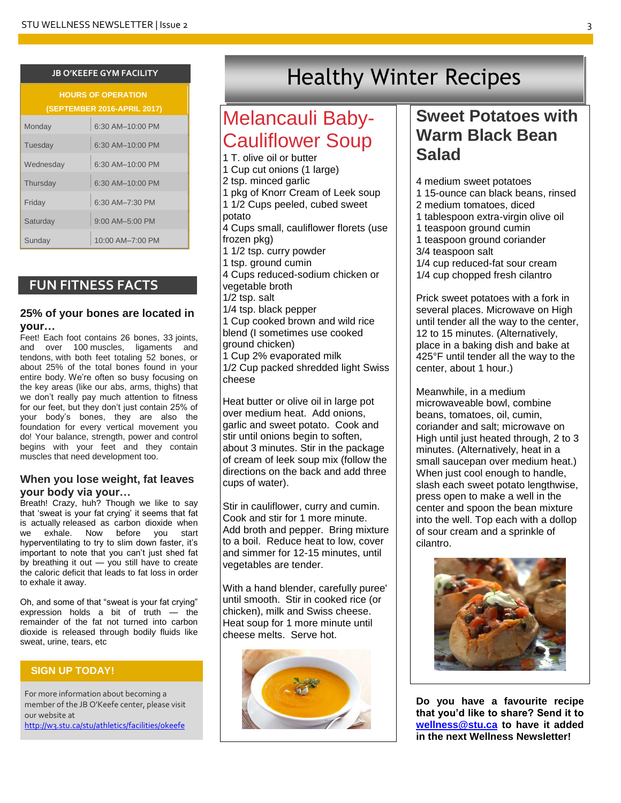| <b>HOURS OF OPERATION</b><br><b>(SEPTEMBER 2016-APRIL 2017)</b> |                    |  |  |  |
|-----------------------------------------------------------------|--------------------|--|--|--|
| Monday                                                          | 6:30 AM-10:00 PM   |  |  |  |
| Tuesday                                                         | $6:30$ AM-10:00 PM |  |  |  |
| Wednesday                                                       | 6:30 AM-10:00 PM   |  |  |  |
| Thursday                                                        | 6:30 AM-10:00 PM   |  |  |  |
| Friday                                                          | 6:30 AM-7:30 PM    |  |  |  |
| Saturday                                                        | $9:00$ AM-5:00 PM  |  |  |  |
| Sunday                                                          | 10:00 AM-7:00 PM   |  |  |  |

## **FUN FITNESS FACTS**

## **25% of your bones are located in your…**

Feet! Each foot contains 26 bones, 33 joints, and over 100 muscles, ligaments and tendons, with both feet totaling 52 bones, or about 25% of the total bones found in your entire body. We're often so busy focusing on the key areas (like our abs, arms, thighs) that we don't really pay much attention to fitness for our feet, but they don't just contain 25% of your body's bones, they are also the foundation for every vertical movement you do! Your balance, strength, power and control begins with your feet and they contain muscles that need development too.

## **When you lose weight, fat leaves your body via your…**

Breath! Crazy, huh? Though we like to say that 'sweat is your fat crying' it seems that fat is actually [released as carbon dioxide when](http://www.sciencedaily.com/releases/2014/12/141216212047.htm)  [we exhale.](http://www.sciencedaily.com/releases/2014/12/141216212047.htm) Now before you start hyperventilating to try to slim down faster, it's important to note that you can't just shed fat by breathing it out — you still have to create the caloric deficit that leads to fat loss in order to exhale it away.

Oh, and some of that "sweat is your fat crying" expression holds a bit of truth — the remainder of the fat not turned into carbon dioxide is released through bodily fluids like sweat, urine, tears, etc

## **SIGN UP TODAY!**

For more information about becoming a member of the JB O'Keefe center, please visit our website at <http://w3.stu.ca/stu/athletics/facilities/okeefe>

# **JB O'KEEFE GYM FACILITY Healthy Winter Recipes**

## Melancauli Baby-Cauliflower Soup

<span id="page-2-0"></span>I

1 T. olive oil or butter 1 Cup cut onions (1 large) 2 tsp. minced garlic 1 pkg of Knorr Cream of Leek soup 1 1/2 Cups peeled, cubed sweet potato 4 Cups small, cauliflower florets (use frozen pkg) 1 1/2 tsp. curry powder 1 tsp. ground cumin 4 Cups reduced-sodium chicken or vegetable broth 1/2 tsp. salt 1/4 tsp. black pepper 1 Cup cooked brown and wild rice blend (I sometimes use cooked ground chicken) 1 Cup 2% evaporated milk 1/2 Cup packed shredded light Swiss cheese

Heat butter or olive oil in large pot over medium heat. Add onions, garlic and sweet potato. Cook and stir until onions begin to soften, about 3 minutes. Stir in the package of cream of leek soup mix (follow the directions on the back and add three cups of water).

Stir in cauliflower, curry and cumin. Cook and stir for 1 more minute. Add broth and pepper. Bring mixture to a boil. Reduce heat to low, cover and simmer for 12-15 minutes, until vegetables are tender.

With a hand blender, carefully puree' until smooth. Stir in cooked rice (or chicken), milk and Swiss cheese. Heat soup for 1 more minute until cheese melts. Serve hot.



## **Sweet Potatoes with Warm Black Bean Salad**

- 4 medium sweet potatoes
- 1 15-ounce can black beans, rinsed
- 2 medium tomatoes, diced
- 1 tablespoon extra-virgin olive oil
- 1 teaspoon ground cumin 1 teaspoon ground coriander
- 3/4 teaspoon salt
- 1/4 cup reduced-fat sour cream 1/4 cup chopped fresh cilantro

Prick sweet potatoes with a fork in several places. Microwave on High until tender all the way to the center, 12 to 15 minutes. (Alternatively, place in a baking dish and bake at 425°F until tender all the way to the center, about 1 hour.)

Meanwhile, in a medium microwaveable bowl, combine beans, tomatoes, oil, cumin, coriander and salt; microwave on High until just heated through, 2 to 3 minutes. (Alternatively, heat in a small saucepan over medium heat.) When just cool enough to handle, slash each sweet potato lengthwise, press open to make a well in the center and spoon the bean mixture into the well. Top each with a dollop of sour cream and a sprinkle of cilantro.



**Do you have a favourite recipe that you'd like to share? Send it to [wellness@stu.ca](mailto:wellness@stu.ca) to have it added in the next Wellness Newsletter!**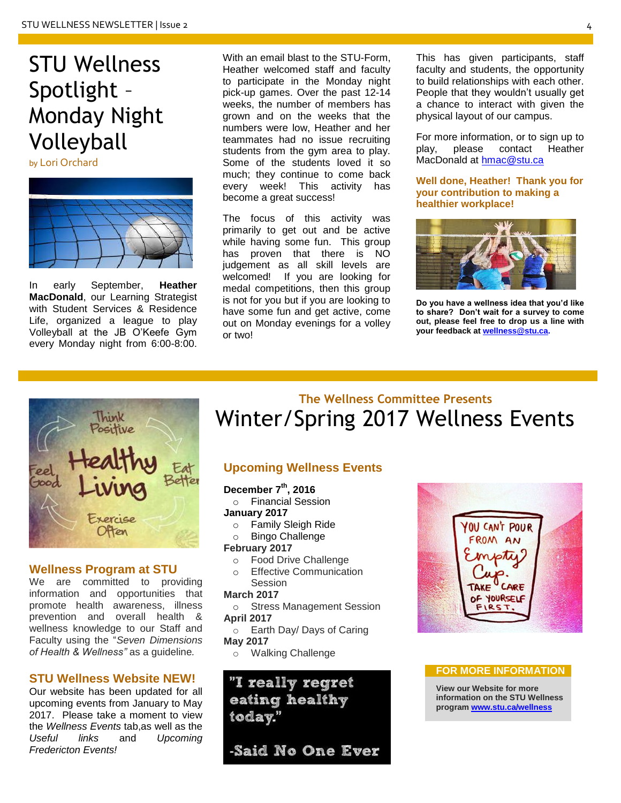# STU Wellness Spotlight – Monday Night Volleyball

by Lori Orchard



In early September, **Heather MacDonald**, our Learning Strategist with Student Services & Residence Life, organized a league to play Volleyball at the JB O'Keefe Gym every Monday night from 6:00-8:00. With an email blast to the STU-Form, Heather welcomed staff and faculty to participate in the Monday night pick-up games. Over the past 12-14 weeks, the number of members has grown and on the weeks that the numbers were low, Heather and her teammates had no issue recruiting students from the gym area to play. Some of the students loved it so much; they continue to come back every week! This activity has become a great success!

The focus of this activity was primarily to get out and be active while having some fun. This group has proven that there is NO judgement as all skill levels are welcomed! If you are looking for medal competitions, then this group is not for you but if you are looking to have some fun and get active, come out on Monday evenings for a volley or two!

This has given participants, staff faculty and students, the opportunity to build relationships with each other. People that they wouldn't usually get a chance to interact with given the physical layout of our campus.

For more information, or to sign up to play, please contact Heather MacDonald at [hmac@stu.ca](mailto:hmac@stu.ca)

**Well done, Heather! Thank you for your contribution to making a healthier workplace!**



**Do you have a wellness idea that you'd like to share? Don't wait for a survey to come out, please feel free to drop us a line with your feedback a[t wellness@stu.ca.](mailto:wellness@stu.ca)** 



## **Wellness Program at STU**

We are committed to providing information and opportunities that promote health awareness, illness prevention and overall health & wellness knowledge to our Staff and Faculty using the "*Seven Dimensions of Health & Wellness"* as a guideline*.*

## **STU Wellness Website NEW!**

Our website has been updated for all upcoming events from January to May 2017. Please take a moment to view the *Wellness Events* tab,as well as the *Useful links* and *Upcoming Fredericton Events!*

## **The Wellness Committee Presents** Winter/Spring 2017 Wellness Events

## **Upcoming Wellness Events**

## **December 7th, 2016**

- o Financial Session **January 2017**
	- o Family Sleigh Ride
	- o Bingo Challenge

## **February 2017**

- o Food Drive Challenge
- o Effective Communication **Session**

## **March 2017**

- o Stress Management Session **April 2017**
- o Earth Day/ Days of Caring **May 2017**
- o Walking Challenge

## "I really regret eating healthy today."

-Said No One Ever



## **FOR MORE INFORMATION**

**View our Website for more information on the STU Wellness progra[m www.stu.ca/wellness](http://www.stu.ca/wellness)**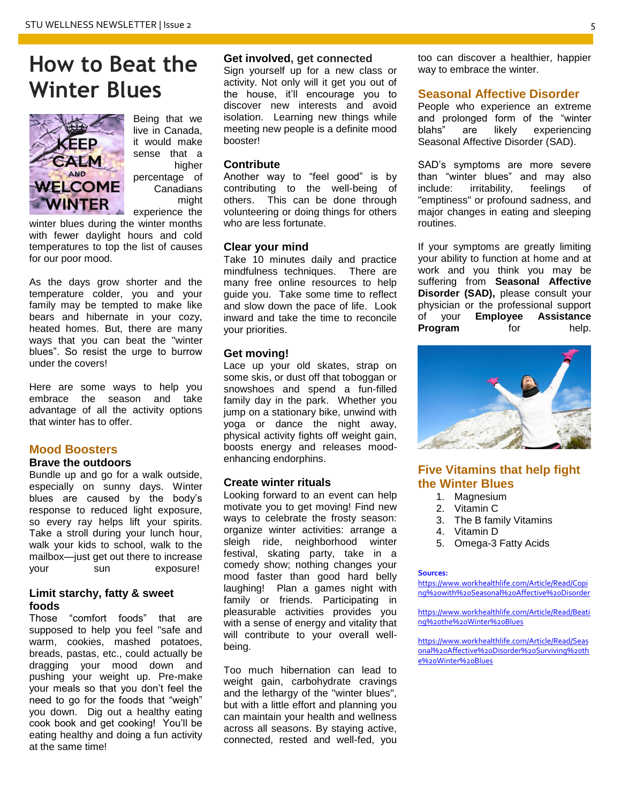# **How to Beat the Winter Blues**



Being that we live in Canada, it would make sense that a higher percentage of Canadians might experience the

winter blues during the winter months with fewer daylight hours and cold temperatures to top the list of causes for our poor mood.

As the days grow shorter and the temperature colder, you and your family may be tempted to make like bears and hibernate in your cozy, heated homes. But, there are many ways that you can beat the "winter blues". So resist the urge to burrow under the covers!

Here are some ways to help you embrace the season and take advantage of all the activity options that winter has to offer.

## **Mood Boosters**

#### **Brave the outdoors**

Bundle up and go for a walk outside, especially on sunny days. Winter blues are caused by the body's response to reduced light exposure, so every ray helps lift your spirits. Take a stroll during your lunch hour, walk your kids to school, walk to the mailbox—just get out there to increase your sun exposure!

## **Limit starchy, fatty & sweet foods**

Those "comfort foods" that are supposed to help you feel "safe and warm, cookies, mashed potatoes, breads, pastas, etc., could actually be dragging your mood down and pushing your weight up. Pre-make your meals so that you don't feel the need to go for the foods that "weigh" you down. Dig out a healthy eating cook book and get cooking! You'll be eating healthy and doing a fun activity at the same time!

## **Get involved, get connected**

Sign yourself up for a new class or activity. Not only will it get you out of the house, it'll encourage you to discover new interests and avoid isolation. Learning new things while meeting new people is a definite mood booster!

#### **Contribute**

Another way to "feel good" is by contributing to the well-being of others. This can be done through volunteering or doing things for others who are less fortunate.

#### **Clear your mind**

Take 10 minutes daily and practice mindfulness techniques. There are many free online resources to help guide you. Take some time to reflect and slow down the pace of life. Look inward and take the time to reconcile your priorities.

#### **Get moving!**

Lace up your old skates, strap on some skis, or dust off that toboggan or snowshoes and spend a fun-filled family day in the park. Whether you jump on a stationary bike, unwind with yoga or dance the night away, physical activity fights off weight gain, boosts energy and releases moodenhancing endorphins.

#### **Create winter rituals**

Looking forward to an event can help motivate you to get moving! Find new ways to celebrate the frosty season: organize winter activities: arrange a sleigh ride, neighborhood winter festival, skating party, take in a comedy show; nothing changes your mood faster than good hard belly laughing! Plan a games night with family or friends. Participating in pleasurable activities provides you with a sense of energy and vitality that will contribute to your overall wellbeing.

Too much hibernation can lead to weight gain, carbohydrate cravings and the lethargy of the "winter blues", but with a little effort and planning you can maintain your health and wellness across all seasons. By staying active, connected, rested and well-fed, you

too can discover a healthier, happier way to embrace the winter.

## **Seasonal Affective Disorder**

People who experience an extreme and prolonged form of the "winter blahs" are likely experiencing Seasonal Affective Disorder (SAD).

SAD's symptoms are more severe than "winter blues" and may also include: irritability, feelings of "emptiness" or profound sadness, and major changes in eating and sleeping routines.

If your symptoms are greatly limiting your ability to function at home and at work and you think you may be suffering from **Seasonal Affective Disorder (SAD),** please consult your physician or the professional support of your **Employee Assistance Program** for help.



## **Five Vitamins that help fight the Winter Blues**

- 1. Magnesium
- 2. Vitamin C
- 3. The B family Vitamins
- 4. Vitamin D
- 5. Omega-3 Fatty Acids

#### **Sources:**

[https://www.workhealthlife.com/Article/Read/Copi](https://www.workhealthlife.com/Article/Read/Coping%20with%20Seasonal%20Affective%20Disorder) [ng%20with%20Seasonal%20Affective%20Disorder](https://www.workhealthlife.com/Article/Read/Coping%20with%20Seasonal%20Affective%20Disorder)

[https://www.workhealthlife.com/Article/Read/Beati](https://www.workhealthlife.com/Article/Read/Beating%20the%20Winter%20Blues) [ng%20the%20Winter%20Blues](https://www.workhealthlife.com/Article/Read/Beating%20the%20Winter%20Blues)

[https://www.workhealthlife.com/Article/Read/Seas](https://www.workhealthlife.com/Article/Read/Seasonal%20Affective%20Disorder%20Surviving%20the%20Winter%20Blues) [onal%20Affective%20Disorder%20Surviving%20th](https://www.workhealthlife.com/Article/Read/Seasonal%20Affective%20Disorder%20Surviving%20the%20Winter%20Blues) [e%20Winter%20Blues](https://www.workhealthlife.com/Article/Read/Seasonal%20Affective%20Disorder%20Surviving%20the%20Winter%20Blues)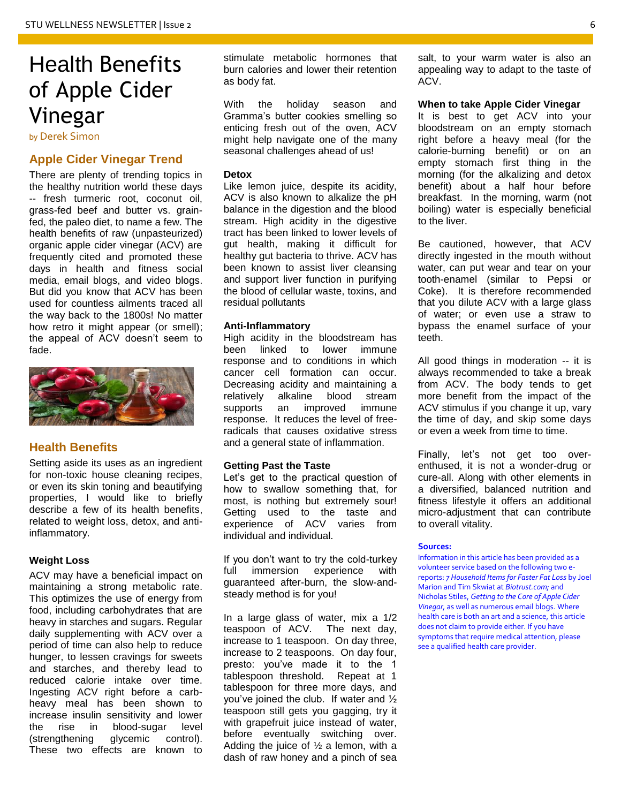# Health Benefits of Apple Cider Vinegar

by Derek Simon

## **Apple Cider Vinegar Trend**

There are plenty of trending topics in the healthy nutrition world these days -- fresh turmeric root, coconut oil, grass-fed beef and butter vs. grainfed, the paleo diet, to name a few. The health benefits of raw (unpasteurized) organic apple cider vinegar (ACV) are frequently cited and promoted these days in health and fitness social media, email blogs, and video blogs. But did you know that ACV has been used for countless ailments traced all the way back to the 1800s! No matter how retro it might appear (or smell); the appeal of ACV doesn't seem to fade.



## **Health Benefits**

Setting aside its uses as an ingredient for non-toxic house cleaning recipes, or even its skin toning and beautifying properties, I would like to briefly describe a few of its health benefits, related to weight loss, detox, and antiinflammatory.

#### **Weight Loss**

ACV may have a beneficial impact on maintaining a strong metabolic rate. This optimizes the use of energy from food, including carbohydrates that are heavy in starches and sugars. Regular daily supplementing with ACV over a period of time can also help to reduce hunger, to lessen cravings for sweets and starches, and thereby lead to reduced calorie intake over time. Ingesting ACV right before a carbheavy meal has been shown to increase insulin sensitivity and lower the rise in blood-sugar level (strengthening glycemic control). These two effects are known to

stimulate metabolic hormones that burn calories and lower their retention as body fat.

With the holiday season and Gramma's butter cookies smelling so enticing fresh out of the oven, ACV might help navigate one of the many seasonal challenges ahead of us!

#### **Detox**

Like lemon juice, despite its acidity, ACV is also known to alkalize the pH balance in the digestion and the blood stream. High acidity in the digestive tract has been linked to lower levels of gut health, making it difficult for healthy gut bacteria to thrive. ACV has been known to assist liver cleansing and support liver function in purifying the blood of cellular waste, toxins, and residual pollutants

#### **Anti-Inflammatory**

High acidity in the bloodstream has been linked to lower immune response and to conditions in which cancer cell formation can occur. Decreasing acidity and maintaining a relatively alkaline blood stream supports an improved immune response. It reduces the level of freeradicals that causes oxidative stress and a general state of inflammation.

#### **Getting Past the Taste**

Let's get to the practical question of how to swallow something that, for most, is nothing but extremely sour! Getting used to the taste and experience of ACV varies from individual and individual.

If you don't want to try the cold-turkey full immersion experience with guaranteed after-burn, the slow-andsteady method is for you!

In a large glass of water, mix a 1/2 teaspoon of ACV. The next day, increase to 1 teaspoon. On day three, increase to 2 teaspoons. On day four, presto: you've made it to the 1 tablespoon threshold. Repeat at 1 tablespoon for three more days, and you've joined the club. If water and ½ teaspoon still gets you gagging, try it with grapefruit juice instead of water, before eventually switching over. Adding the juice of  $\frac{1}{2}$  a lemon, with a dash of raw honey and a pinch of sea salt, to your warm water is also an appealing way to adapt to the taste of ACV.

**When to take Apple Cider Vinegar**

It is best to get ACV into your bloodstream on an empty stomach right before a heavy meal (for the calorie-burning benefit) or on an empty stomach first thing in the morning (for the alkalizing and detox benefit) about a half hour before breakfast. In the morning, warm (not boiling) water is especially beneficial to the liver.

Be cautioned, however, that ACV directly ingested in the mouth without water, can put wear and tear on your tooth-enamel (similar to Pepsi or Coke). It is therefore recommended that you dilute ACV with a large glass of water; or even use a straw to bypass the enamel surface of your teeth.

All good things in moderation -- it is always recommended to take a break from ACV. The body tends to get more benefit from the impact of the ACV stimulus if you change it up, vary the time of day, and skip some days or even a week from time to time.

Finally, let's not get too overenthused, it is not a wonder-drug or cure-all. Along with other elements in a diversified, balanced nutrition and fitness lifestyle it offers an additional micro-adjustment that can contribute to overall vitality.

#### **Sources:**

Information in this article has been provided as a volunteer service based on the following two ereports: *7 Household Items for Faster Fat Loss* by Joel Marion and Tim Skwiat at *Biotrust.com;* and Nicholas Stiles, *Getting to the Core of Apple Cider Vinegar,* as well as numerous email blogs*.* Where health care is both an art and a science, this article does not claim to provide either. If you have symptoms that require medical attention, please see a qualified health care provider.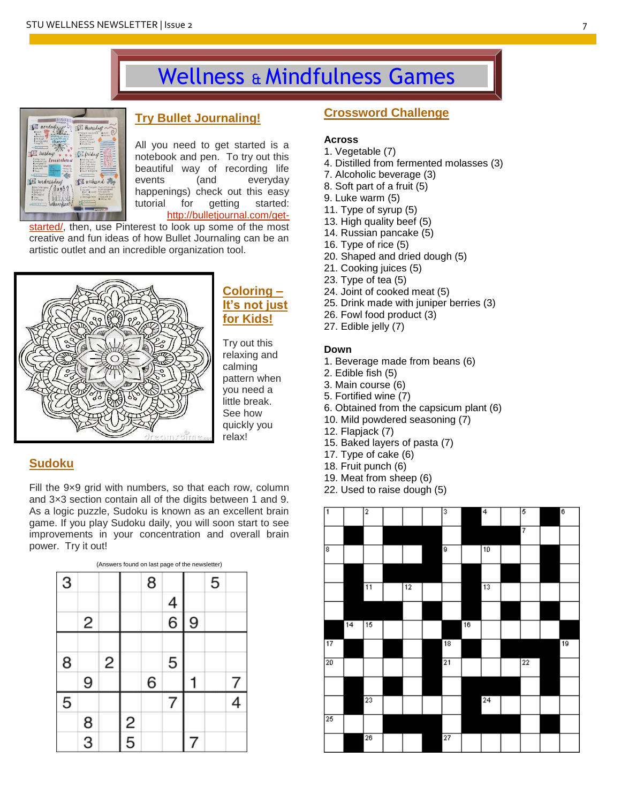# Wellness & Mindfulness Games



## **Try Bullet Journaling!**

All you need to get started is a notebook and pen. To try out this beautiful way of recording life events (and everyday happenings) check out this easy tutorial for getting started: [http://bulletjournal.com/get-](http://bulletjournal.com/get-started/)

[started/,](http://bulletjournal.com/get-started/) then, use Pinterest to look up some of the most creative and fun ideas of how Bullet Journaling can be an artistic outlet and an incredible organization tool.



## **Coloring – It's not just for Kids!**

Try out this relaxing and calming pattern when you need a little break. See how quickly you relax!

## **Sudoku**

Fill the 9x9 grid with numbers, so that each row, column and 3×3 section contain all of the digits between 1 and 9. As a logic puzzle, Sudoku is known as an excellent brain game. If you play Sudoku daily, you will soon start to see improvements in your concentration and overall brain power. Try it out!

| (Answers found on last page of the newsletter) |               |   |               |   |        |   |   |  |
|------------------------------------------------|---------------|---|---------------|---|--------|---|---|--|
| 3                                              |               |   |               | 8 |        |   | 5 |  |
|                                                |               |   |               |   |        |   |   |  |
|                                                | 2             |   |               |   | 4<br>6 | 9 |   |  |
|                                                |               |   |               |   |        |   |   |  |
| 8                                              |               | 2 |               |   | 5      |   |   |  |
|                                                | 9             |   |               | 6 |        |   |   |  |
| 5                                              |               |   |               |   |        |   |   |  |
|                                                |               |   | $\frac{2}{5}$ |   |        |   |   |  |
|                                                | $\frac{8}{3}$ |   |               |   |        |   |   |  |

## **Crossword Challenge**

## **Across**

- 1. Vegetable (7)
- 4. Distilled from fermented molasses (3)
- 7. Alcoholic beverage (3)
- 8. Soft part of a fruit (5)
- 9. Luke warm (5)
- 11. Type of syrup (5)
- 13. High quality beef (5)
- 14. Russian pancake (5)
- 16. Type of rice (5)
- 20. Shaped and dried dough (5)
- 21. Cooking juices (5)
- 23. Type of tea (5)
- 24. Joint of cooked meat (5)
- 25. Drink made with juniper berries (3)
- 26. Fowl food product (3)
- 27. Edible jelly (7)

## **Down**

- 1. Beverage made from beans (6)
- 2. Edible fish (5)
- 3. Main course (6)
- 5. Fortified wine (7)
- 6. Obtained from the capsicum plant (6)
- 10. Mild powdered seasoning (7)
- 12. Flapjack (7)
- 15. Baked layers of pasta (7)
- 17. Type of cake (6)
- 18. Fruit punch (6)
- 19. Meat from sheep (6)
- 22. Used to raise dough (5)